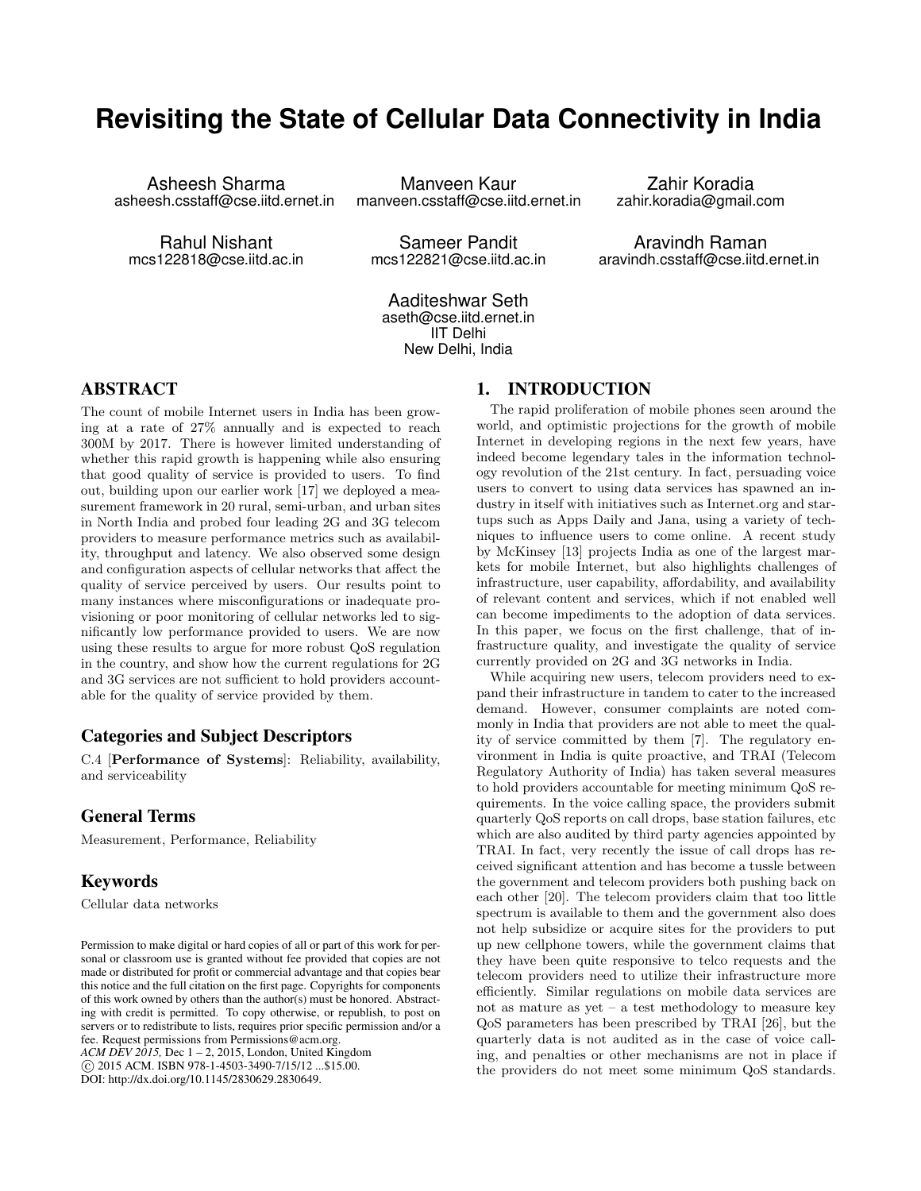# **Revisiting the State of Cellular Data Connectivity in India**

Asheesh Sharma asheesh.csstaff@cse.iitd.ernet.in

Manveen Kaur manveen.csstaff@cse.iitd.ernet.in

Zahir Koradia zahir.koradia@gmail.com

Rahul Nishant mcs122818@cse.iitd.ac.in

Sameer Pandit mcs122821@cse.iitd.ac.in

Aravindh Raman aravindh.csstaff@cse.iitd.ernet.in

Aaditeshwar Seth aseth@cse.iitd.ernet.in IIT Delhi New Delhi, India

# ABSTRACT

The count of mobile Internet users in India has been growing at a rate of 27% annually and is expected to reach 300M by 2017. There is however limited understanding of whether this rapid growth is happening while also ensuring that good quality of service is provided to users. To find out, building upon our earlier work [17] we deployed a measurement framework in 20 rural, semi-urban, and urban sites in North India and probed four leading 2G and 3G telecom providers to measure performance metrics such as availability, throughput and latency. We also observed some design and configuration aspects of cellular networks that affect the quality of service perceived by users. Our results point to many instances where misconfigurations or inadequate provisioning or poor monitoring of cellular networks led to significantly low performance provided to users. We are now using these results to argue for more robust QoS regulation in the country, and show how the current regulations for 2G and 3G services are not sufficient to hold providers accountable for the quality of service provided by them.

## Categories and Subject Descriptors

C.4 [**Performance of Systems**]: Reliability, availability, and serviceability

## General Terms

Measurement, Performance, Reliability

## Keywords

Cellular data networks

*ACM DEV 2015,* Dec 1 – 2, 2015, London, United Kingdom *⃝*c 2015 ACM. ISBN 978-1-4503-3490-7/15/12 ...\$15.00. DOI: http://dx.doi.org/10.1145/2830629.2830649.

# 1. INTRODUCTION

The rapid proliferation of mobile phones seen around the world, and optimistic projections for the growth of mobile Internet in developing regions in the next few years, have indeed become legendary tales in the information technology revolution of the 21st century. In fact, persuading voice users to convert to using data services has spawned an industry in itself with initiatives such as Internet.org and startups such as Apps Daily and Jana, using a variety of techniques to influence users to come online. A recent study by McKinsey [13] projects India as one of the largest markets for mobile Internet, but also highlights challenges of infrastructure, user capability, affordability, and availability of relevant content and services, which if not enabled well can become impediments to the adoption of data services. In this paper, we focus on the first challenge, that of infrastructure quality, and investigate the quality of service currently provided on 2G and 3G networks in India.

While acquiring new users, telecom providers need to expand their infrastructure in tandem to cater to the increased demand. However, consumer complaints are noted commonly in India that providers are not able to meet the quality of service committed by them [7]. The regulatory environment in India is quite proactive, and TRAI (Telecom Regulatory Authority of India) has taken several measures to hold providers accountable for meeting minimum QoS requirements. In the voice calling space, the providers submit quarterly QoS reports on call drops, base station failures, etc which are also audited by third party agencies appointed by TRAI. In fact, very recently the issue of call drops has received significant attention and has become a tussle between the government and telecom providers both pushing back on each other [20]. The telecom providers claim that too little spectrum is available to them and the government also does not help subsidize or acquire sites for the providers to put up new cellphone towers, while the government claims that they have been quite responsive to telco requests and the telecom providers need to utilize their infrastructure more efficiently. Similar regulations on mobile data services are not as mature as yet – a test methodology to measure key QoS parameters has been prescribed by TRAI [26], but the quarterly data is not audited as in the case of voice calling, and penalties or other mechanisms are not in place if the providers do not meet some minimum QoS standards.

Permission to make digital or hard copies of all or part of this work for personal or classroom use is granted without fee provided that copies are not made or distributed for profit or commercial advantage and that copies bear this notice and the full citation on the first page. Copyrights for components of this work owned by others than the author(s) must be honored. Abstracting with credit is permitted. To copy otherwise, or republish, to post on servers or to redistribute to lists, requires prior specific permission and/or a fee. Request permissions from Permissions@acm.org.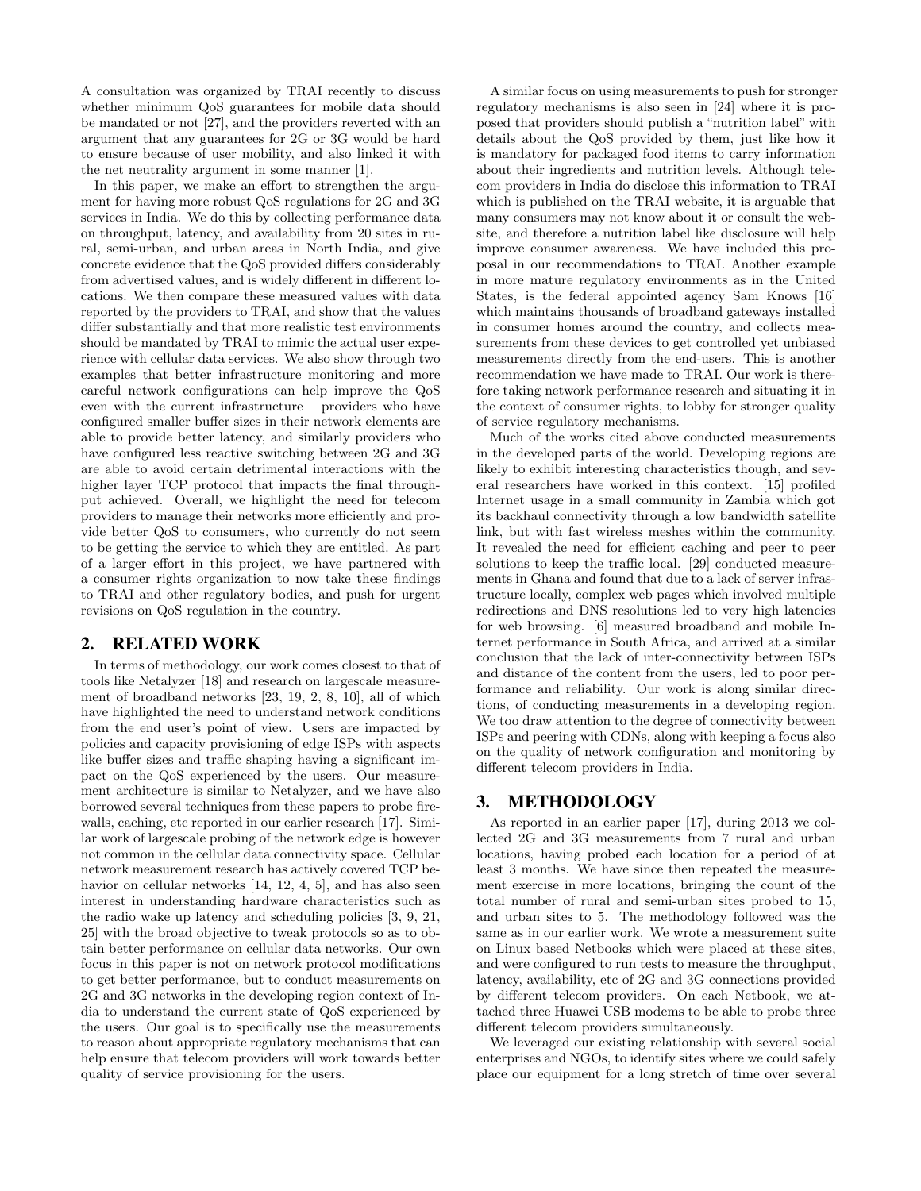A consultation was organized by TRAI recently to discuss whether minimum QoS guarantees for mobile data should be mandated or not [27], and the providers reverted with an argument that any guarantees for 2G or 3G would be hard to ensure because of user mobility, and also linked it with the net neutrality argument in some manner [1].

In this paper, we make an effort to strengthen the argument for having more robust QoS regulations for 2G and 3G services in India. We do this by collecting performance data on throughput, latency, and availability from 20 sites in rural, semi-urban, and urban areas in North India, and give concrete evidence that the QoS provided differs considerably from advertised values, and is widely different in different locations. We then compare these measured values with data reported by the providers to TRAI, and show that the values differ substantially and that more realistic test environments should be mandated by TRAI to mimic the actual user experience with cellular data services. We also show through two examples that better infrastructure monitoring and more careful network configurations can help improve the QoS even with the current infrastructure – providers who have configured smaller buffer sizes in their network elements are able to provide better latency, and similarly providers who have configured less reactive switching between 2G and 3G are able to avoid certain detrimental interactions with the higher layer TCP protocol that impacts the final throughput achieved. Overall, we highlight the need for telecom providers to manage their networks more efficiently and provide better QoS to consumers, who currently do not seem to be getting the service to which they are entitled. As part of a larger effort in this project, we have partnered with a consumer rights organization to now take these findings to TRAI and other regulatory bodies, and push for urgent revisions on QoS regulation in the country.

## 2. RELATED WORK

In terms of methodology, our work comes closest to that of tools like Netalyzer [18] and research on largescale measurement of broadband networks [23, 19, 2, 8, 10], all of which have highlighted the need to understand network conditions from the end user's point of view. Users are impacted by policies and capacity provisioning of edge ISPs with aspects like buffer sizes and traffic shaping having a significant impact on the QoS experienced by the users. Our measurement architecture is similar to Netalyzer, and we have also borrowed several techniques from these papers to probe firewalls, caching, etc reported in our earlier research [17]. Similar work of largescale probing of the network edge is however not common in the cellular data connectivity space. Cellular network measurement research has actively covered TCP behavior on cellular networks [14, 12, 4, 5], and has also seen interest in understanding hardware characteristics such as the radio wake up latency and scheduling policies [3, 9, 21, 25] with the broad objective to tweak protocols so as to obtain better performance on cellular data networks. Our own focus in this paper is not on network protocol modifications to get better performance, but to conduct measurements on 2G and 3G networks in the developing region context of India to understand the current state of QoS experienced by the users. Our goal is to specifically use the measurements to reason about appropriate regulatory mechanisms that can help ensure that telecom providers will work towards better quality of service provisioning for the users.

A similar focus on using measurements to push for stronger regulatory mechanisms is also seen in [24] where it is proposed that providers should publish a "nutrition label" with details about the QoS provided by them, just like how it is mandatory for packaged food items to carry information about their ingredients and nutrition levels. Although telecom providers in India do disclose this information to TRAI which is published on the TRAI website, it is arguable that many consumers may not know about it or consult the website, and therefore a nutrition label like disclosure will help improve consumer awareness. We have included this proposal in our recommendations to TRAI. Another example in more mature regulatory environments as in the United States, is the federal appointed agency Sam Knows [16] which maintains thousands of broadband gateways installed in consumer homes around the country, and collects measurements from these devices to get controlled yet unbiased measurements directly from the end-users. This is another recommendation we have made to TRAI. Our work is therefore taking network performance research and situating it in the context of consumer rights, to lobby for stronger quality of service regulatory mechanisms.

Much of the works cited above conducted measurements in the developed parts of the world. Developing regions are likely to exhibit interesting characteristics though, and several researchers have worked in this context. [15] profiled Internet usage in a small community in Zambia which got its backhaul connectivity through a low bandwidth satellite link, but with fast wireless meshes within the community. It revealed the need for efficient caching and peer to peer solutions to keep the traffic local. [29] conducted measurements in Ghana and found that due to a lack of server infrastructure locally, complex web pages which involved multiple redirections and DNS resolutions led to very high latencies for web browsing. [6] measured broadband and mobile Internet performance in South Africa, and arrived at a similar conclusion that the lack of inter-connectivity between ISPs and distance of the content from the users, led to poor performance and reliability. Our work is along similar directions, of conducting measurements in a developing region. We too draw attention to the degree of connectivity between ISPs and peering with CDNs, along with keeping a focus also on the quality of network configuration and monitoring by different telecom providers in India.

## 3. METHODOLOGY

As reported in an earlier paper [17], during 2013 we collected 2G and 3G measurements from 7 rural and urban locations, having probed each location for a period of at least 3 months. We have since then repeated the measurement exercise in more locations, bringing the count of the total number of rural and semi-urban sites probed to 15, and urban sites to 5. The methodology followed was the same as in our earlier work. We wrote a measurement suite on Linux based Netbooks which were placed at these sites, and were configured to run tests to measure the throughput, latency, availability, etc of 2G and 3G connections provided by different telecom providers. On each Netbook, we attached three Huawei USB modems to be able to probe three different telecom providers simultaneously.

We leveraged our existing relationship with several social enterprises and NGOs, to identify sites where we could safely place our equipment for a long stretch of time over several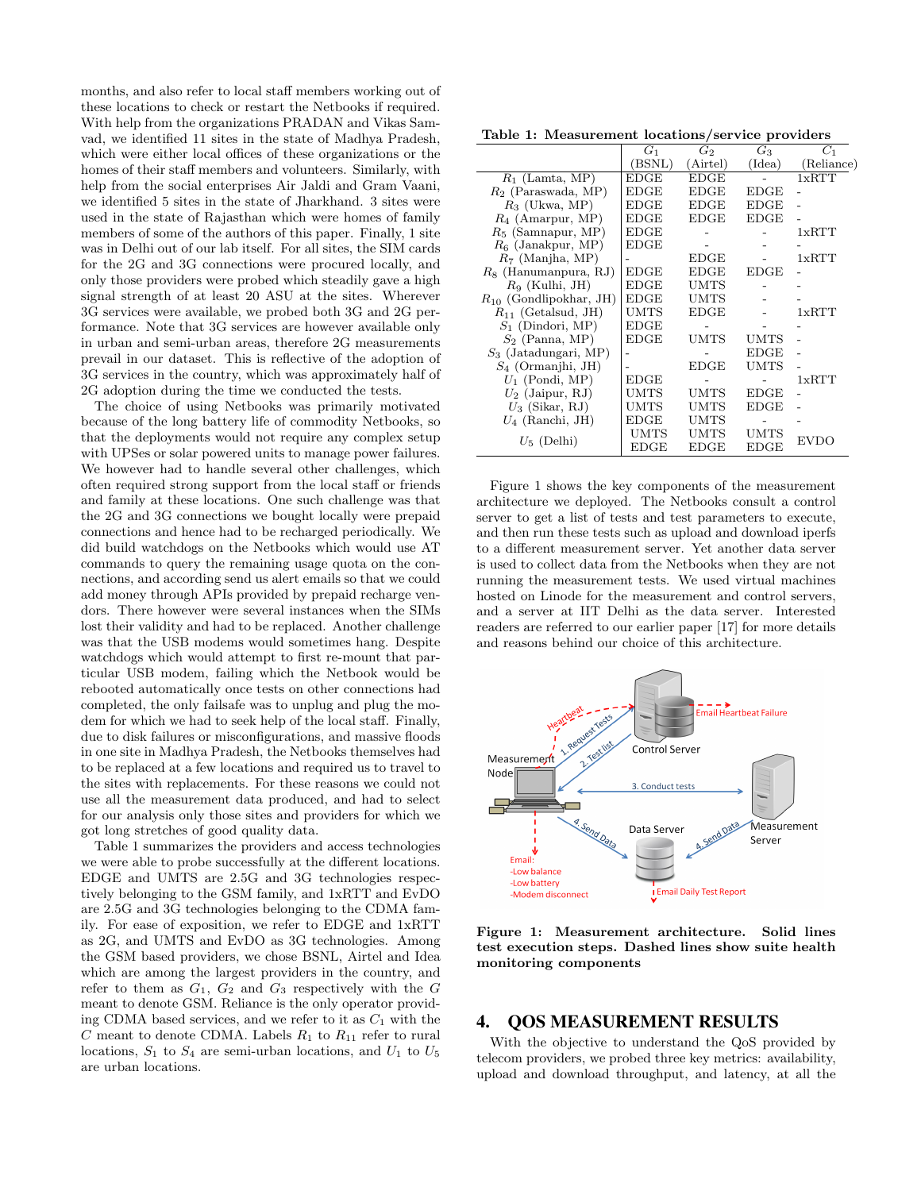months, and also refer to local staff members working out of these locations to check or restart the Netbooks if required. With help from the organizations PRADAN and Vikas Samvad, we identified 11 sites in the state of Madhya Pradesh, which were either local offices of these organizations or the homes of their staff members and volunteers. Similarly, with help from the social enterprises Air Jaldi and Gram Vaani, we identified 5 sites in the state of Jharkhand. 3 sites were used in the state of Rajasthan which were homes of family members of some of the authors of this paper. Finally, 1 site was in Delhi out of our lab itself. For all sites, the SIM cards for the 2G and 3G connections were procured locally, and only those providers were probed which steadily gave a high signal strength of at least 20 ASU at the sites. Wherever 3G services were available, we probed both 3G and 2G performance. Note that 3G services are however available only in urban and semi-urban areas, therefore 2G measurements prevail in our dataset. This is reflective of the adoption of 3G services in the country, which was approximately half of 2G adoption during the time we conducted the tests.

The choice of using Netbooks was primarily motivated because of the long battery life of commodity Netbooks, so that the deployments would not require any complex setup with UPSes or solar powered units to manage power failures. We however had to handle several other challenges, which often required strong support from the local staff or friends and family at these locations. One such challenge was that the 2G and 3G connections we bought locally were prepaid connections and hence had to be recharged periodically. We did build watchdogs on the Netbooks which would use AT commands to query the remaining usage quota on the connections, and according send us alert emails so that we could add money through APIs provided by prepaid recharge vendors. There however were several instances when the SIMs lost their validity and had to be replaced. Another challenge was that the USB modems would sometimes hang. Despite watchdogs which would attempt to first re-mount that particular USB modem, failing which the Netbook would be rebooted automatically once tests on other connections had completed, the only failsafe was to unplug and plug the modem for which we had to seek help of the local staff. Finally, due to disk failures or misconfigurations, and massive floods in one site in Madhya Pradesh, the Netbooks themselves had to be replaced at a few locations and required us to travel to the sites with replacements. For these reasons we could not use all the measurement data produced, and had to select for our analysis only those sites and providers for which we got long stretches of good quality data.

Table 1 summarizes the providers and access technologies we were able to probe successfully at the different locations. EDGE and UMTS are 2.5G and 3G technologies respectively belonging to the GSM family, and 1xRTT and EvDO are 2.5G and 3G technologies belonging to the CDMA family. For ease of exposition, we refer to EDGE and 1xRTT as 2G, and UMTS and EvDO as 3G technologies. Among the GSM based providers, we chose BSNL, Airtel and Idea which are among the largest providers in the country, and refer to them as  $G_1$ ,  $G_2$  and  $G_3$  respectively with the  $G$ meant to denote GSM. Reliance is the only operator providing CDMA based services, and we refer to it as  $C_1$  with the *C* meant to denote CDMA. Labels  $R_1$  to  $R_{11}$  refer to rural locations,  $S_1$  to  $S_4$  are semi-urban locations, and  $U_1$  to  $U_5$ are urban locations.

**Table 1: Measurement locations/service providers**

| $G_1$ | $G_2$                                                                                                                                                                                                                                            | $G_3$         | $C_1$      |
|-------|--------------------------------------------------------------------------------------------------------------------------------------------------------------------------------------------------------------------------------------------------|---------------|------------|
|       | (Airtel)                                                                                                                                                                                                                                         | (Idea)        | (Reliance) |
|       | <b>EDGE</b>                                                                                                                                                                                                                                      |               | 1xRTT      |
|       | <b>EDGE</b>                                                                                                                                                                                                                                      | EDGE          |            |
|       | <b>EDGE</b>                                                                                                                                                                                                                                      | <b>EDGE</b>   |            |
|       | <b>EDGE</b>                                                                                                                                                                                                                                      | <b>EDGE</b>   |            |
|       |                                                                                                                                                                                                                                                  |               | 1xRTT      |
|       |                                                                                                                                                                                                                                                  |               |            |
|       | <b>EDGE</b>                                                                                                                                                                                                                                      |               | 1xRTT      |
|       | <b>EDGE</b>                                                                                                                                                                                                                                      | EDCE          |            |
|       | UMTS                                                                                                                                                                                                                                             |               |            |
|       | UMTS                                                                                                                                                                                                                                             |               |            |
|       | <b>EDGE</b>                                                                                                                                                                                                                                      |               | 1xRTT      |
|       |                                                                                                                                                                                                                                                  |               |            |
|       | UMTS                                                                                                                                                                                                                                             | UMTS          |            |
|       |                                                                                                                                                                                                                                                  | $_{\rm EDGE}$ |            |
|       | EDGE                                                                                                                                                                                                                                             | UMTS          |            |
|       |                                                                                                                                                                                                                                                  |               | 1xRTT      |
|       | <b>UMTS</b>                                                                                                                                                                                                                                      | <b>EDGE</b>   |            |
|       | UMTS                                                                                                                                                                                                                                             | EDGE          |            |
|       | UMTS                                                                                                                                                                                                                                             |               |            |
|       | UMTS                                                                                                                                                                                                                                             | UMTS          |            |
|       | EDGE                                                                                                                                                                                                                                             | $_{\rm EDGE}$ | EVDO       |
|       | (BSNL)<br>EDGE<br>$_{\rm EDGE}$<br>$_{\rm EDGE}$<br>$_{\rm EDGE}$<br>$_{\rm EDGE}$<br>$_{\rm EDGE}$<br>EDGE<br>$_{\rm EDGE}$<br>EDGE<br>UMTS<br>$_{\rm EDGE}$<br>$_{\rm EDGE}$<br>$_{\rm EDGE}$<br>UMTS<br>UMTS<br>$_{\rm EDGE}$<br>UMTS<br>EDGE |               |            |

Figure 1 shows the key components of the measurement architecture we deployed. The Netbooks consult a control server to get a list of tests and test parameters to execute, and then run these tests such as upload and download iperfs to a different measurement server. Yet another data server is used to collect data from the Netbooks when they are not running the measurement tests. We used virtual machines hosted on Linode for the measurement and control servers, and a server at IIT Delhi as the data server. Interested readers are referred to our earlier paper [17] for more details and reasons behind our choice of this architecture.



**Figure 1: Measurement architecture. Solid lines test execution steps. Dashed lines show suite health monitoring components**

#### 4. QOS MEASUREMENT RESULTS

With the objective to understand the QoS provided by telecom providers, we probed three key metrics: availability, upload and download throughput, and latency, at all the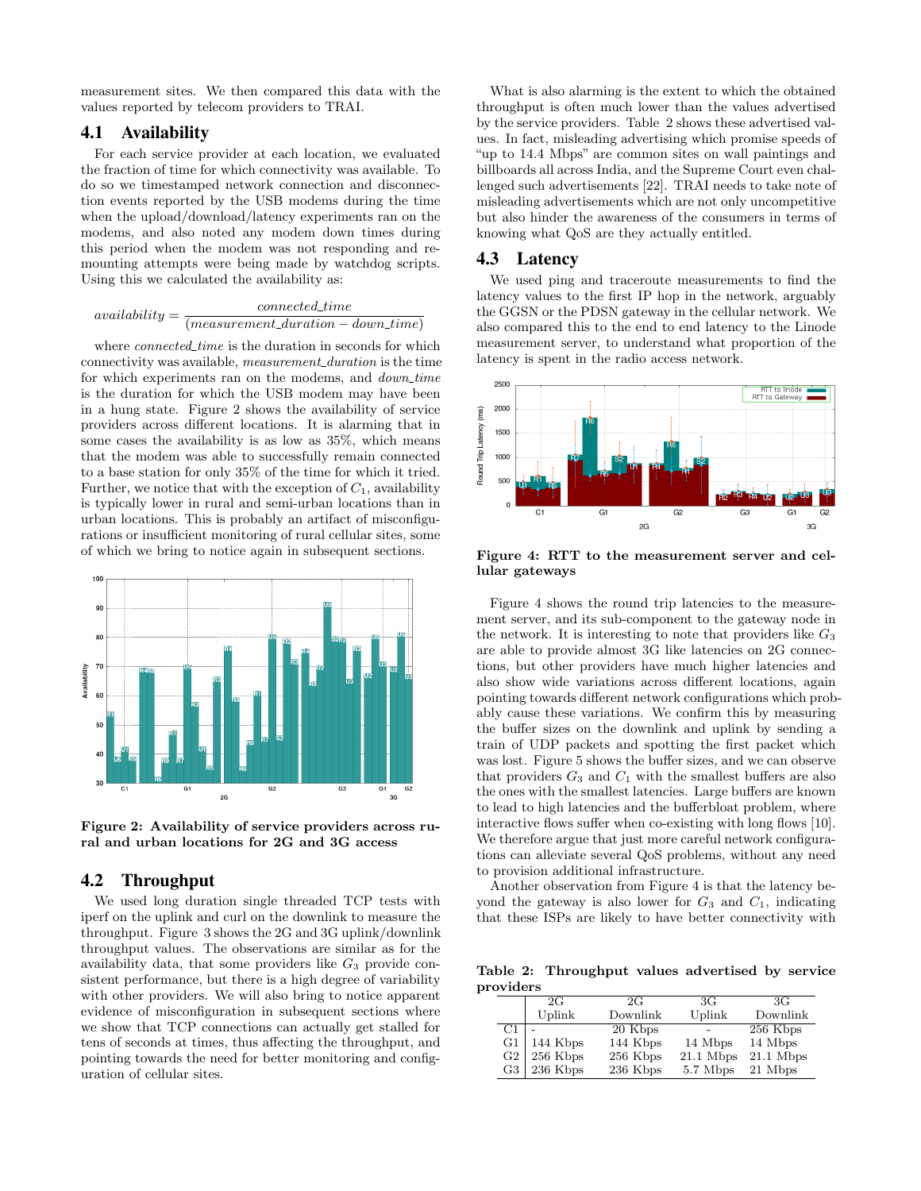measurement sites. We then compared this data with the values reported by telecom providers to TRAI.

## 4.1 Availability

For each service provider at each location, we evaluated the fraction of time for which connectivity was available. To do so we timestamped network connection and disconnection events reported by the USB modems during the time when the upload/download/latency experiments ran on the modems, and also noted any modem down times during this period when the modem was not responding and remounting attempts were being made by watchdog scripts. Using this we calculated the availability as:

$$
available ity = \frac{connected\_time}{(measurement\_duration - down\_time)}
$$

where *connected time* is the duration in seconds for which connectivity was available, *measurement duration* is the time for which experiments ran on the modems, and *down time* is the duration for which the USB modem may have been in a hung state. Figure 2 shows the availability of service providers across different locations. It is alarming that in some cases the availability is as low as 35%, which means that the modem was able to successfully remain connected to a base station for only 35% of the time for which it tried. Further, we notice that with the exception of  $C_1$ , availability is typically lower in rural and semi-urban locations than in urban locations. This is probably an artifact of misconfigurations or insufficient monitoring of rural cellular sites, some of which we bring to notice again in subsequent sections.



**Figure 2: Availability of service providers across rural and urban locations for 2G and 3G access**

#### 4.2 Throughput

We used long duration single threaded TCP tests with iperf on the uplink and curl on the downlink to measure the throughput. Figure 3 shows the 2G and 3G uplink/downlink throughput values. The observations are similar as for the availability data, that some providers like *G*<sup>3</sup> provide consistent performance, but there is a high degree of variability with other providers. We will also bring to notice apparent evidence of misconfiguration in subsequent sections where we show that TCP connections can actually get stalled for tens of seconds at times, thus affecting the throughput, and pointing towards the need for better monitoring and configuration of cellular sites.

What is also alarming is the extent to which the obtained throughput is often much lower than the values advertised by the service providers. Table 2 shows these advertised values. In fact, misleading advertising which promise speeds of "up to 14.4 Mbps" are common sites on wall paintings and billboards all across India, and the Supreme Court even challenged such advertisements [22]. TRAI needs to take note of misleading advertisements which are not only uncompetitive but also hinder the awareness of the consumers in terms of knowing what QoS are they actually entitled.

#### 4.3 Latency

We used ping and traceroute measurements to find the latency values to the first IP hop in the network, arguably the GGSN or the PDSN gateway in the cellular network. We also compared this to the end to end latency to the Linode measurement server, to understand what proportion of the latency is spent in the radio access network.



**Figure 4: RTT to the measurement server and cellular gateways**

Figure 4 shows the round trip latencies to the measurement server, and its sub-component to the gateway node in the network. It is interesting to note that providers like  $G_3$ are able to provide almost 3G like latencies on 2G connections, but other providers have much higher latencies and also show wide variations across different locations, again pointing towards different network configurations which probably cause these variations. We confirm this by measuring the buffer sizes on the downlink and uplink by sending a train of UDP packets and spotting the first packet which was lost. Figure 5 shows the buffer sizes, and we can observe that providers  $G_3$  and  $C_1$  with the smallest buffers are also the ones with the smallest latencies. Large buffers are known to lead to high latencies and the bufferbloat problem, where interactive flows suffer when co-existing with long flows [10]. We therefore argue that just more careful network configurations can alleviate several QoS problems, without any need to provision additional infrastructure.

Another observation from Figure 4 is that the latency beyond the gateway is also lower for  $G_3$  and  $C_1$ , indicating that these ISPs are likely to have better connectivity with

**Table 2: Throughput values advertised by service providers**

|             | 2G               | 2G       | 3G          | 3G          |
|-------------|------------------|----------|-------------|-------------|
|             | Uplink           | Downlink | Uplink      | Downlink    |
| $_{\rm C1}$ |                  | 20 Kbps  |             | 256 Kbps    |
| G1          | 144 Kbps         | 144 Kbps | 14 Mbps     | 14 Mbps     |
| ${\rm G}2$  | $\vert$ 256 Kbps | 256 Kbps | $21.1$ Mbps | $21.1$ Mbps |
| G3          | $236$ Kbps       | 236 Kbps | 5.7 Mbps    | 21 Mbps     |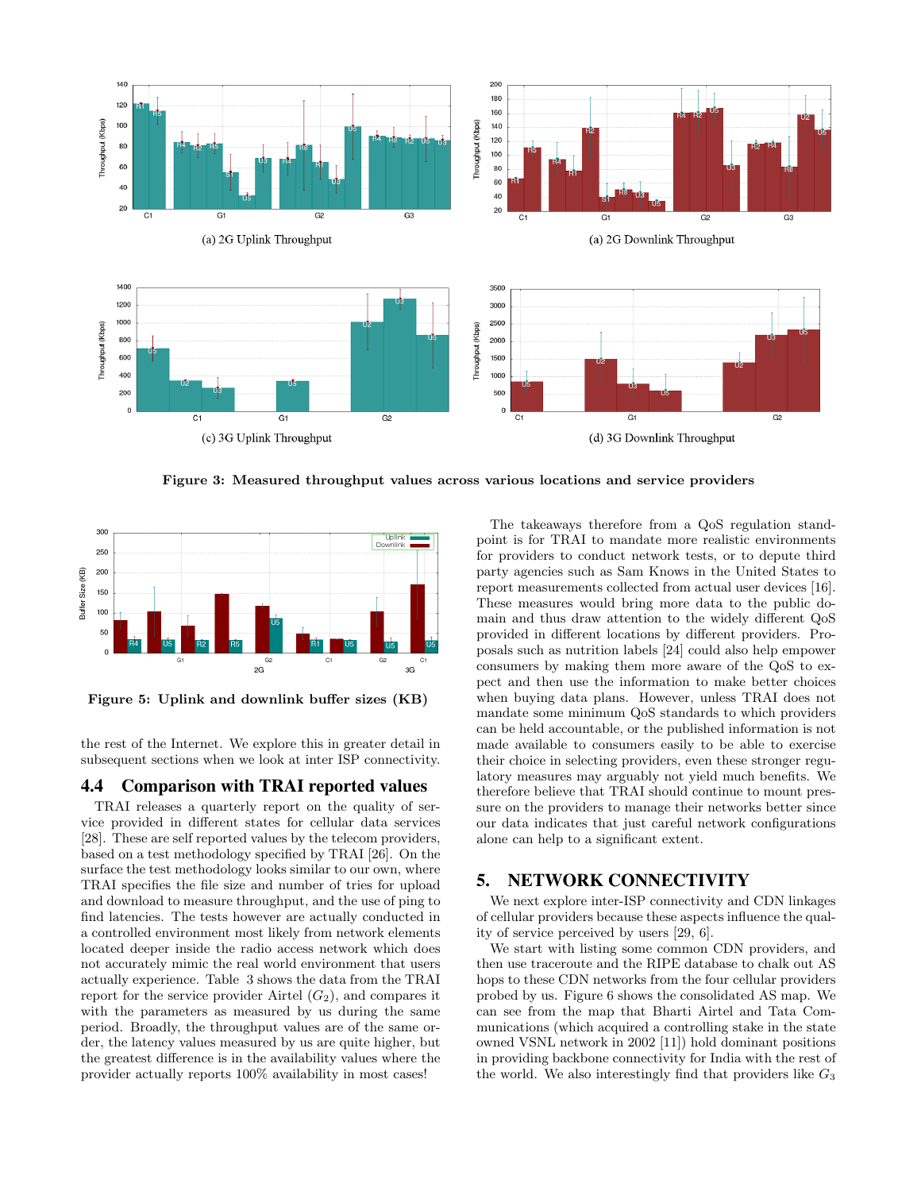

**Figure 3: Measured throughput values across various locations and service providers**



**Figure 5: Uplink and downlink buffer sizes (KB)**

the rest of the Internet. We explore this in greater detail in subsequent sections when we look at inter ISP connectivity.

## 4.4 Comparison with TRAI reported values

TRAI releases a quarterly report on the quality of service provided in different states for cellular data services [28]. These are self reported values by the telecom providers, based on a test methodology specified by TRAI [26]. On the surface the test methodology looks similar to our own, where TRAI specifies the file size and number of tries for upload and download to measure throughput, and the use of ping to find latencies. The tests however are actually conducted in a controlled environment most likely from network elements located deeper inside the radio access network which does not accurately mimic the real world environment that users actually experience. Table 3 shows the data from the TRAI report for the service provider Airtel  $(G_2)$ , and compares it with the parameters as measured by us during the same period. Broadly, the throughput values are of the same order, the latency values measured by us are quite higher, but the greatest difference is in the availability values where the provider actually reports 100% availability in most cases!

The takeaways therefore from a QoS regulation standpoint is for TRAI to mandate more realistic environments for providers to conduct network tests, or to depute third party agencies such as Sam Knows in the United States to report measurements collected from actual user devices [16]. These measures would bring more data to the public domain and thus draw attention to the widely different QoS provided in different locations by different providers. Proposals such as nutrition labels [24] could also help empower consumers by making them more aware of the QoS to expect and then use the information to make better choices when buying data plans. However, unless TRAI does not mandate some minimum QoS standards to which providers can be held accountable, or the published information is not made available to consumers easily to be able to exercise their choice in selecting providers, even these stronger regulatory measures may arguably not yield much benefits. We therefore believe that TRAI should continue to mount pressure on the providers to manage their networks better since our data indicates that just careful network configurations alone can help to a significant extent.

## 5. NETWORK CONNECTIVITY

We next explore inter-ISP connectivity and CDN linkages of cellular providers because these aspects influence the quality of service perceived by users [29, 6].

We start with listing some common CDN providers, and then use traceroute and the RIPE database to chalk out AS hops to these CDN networks from the four cellular providers probed by us. Figure 6 shows the consolidated AS map. We can see from the map that Bharti Airtel and Tata Communications (which acquired a controlling stake in the state owned VSNL network in 2002 [11]) hold dominant positions in providing backbone connectivity for India with the rest of the world. We also interestingly find that providers like *G*<sup>3</sup>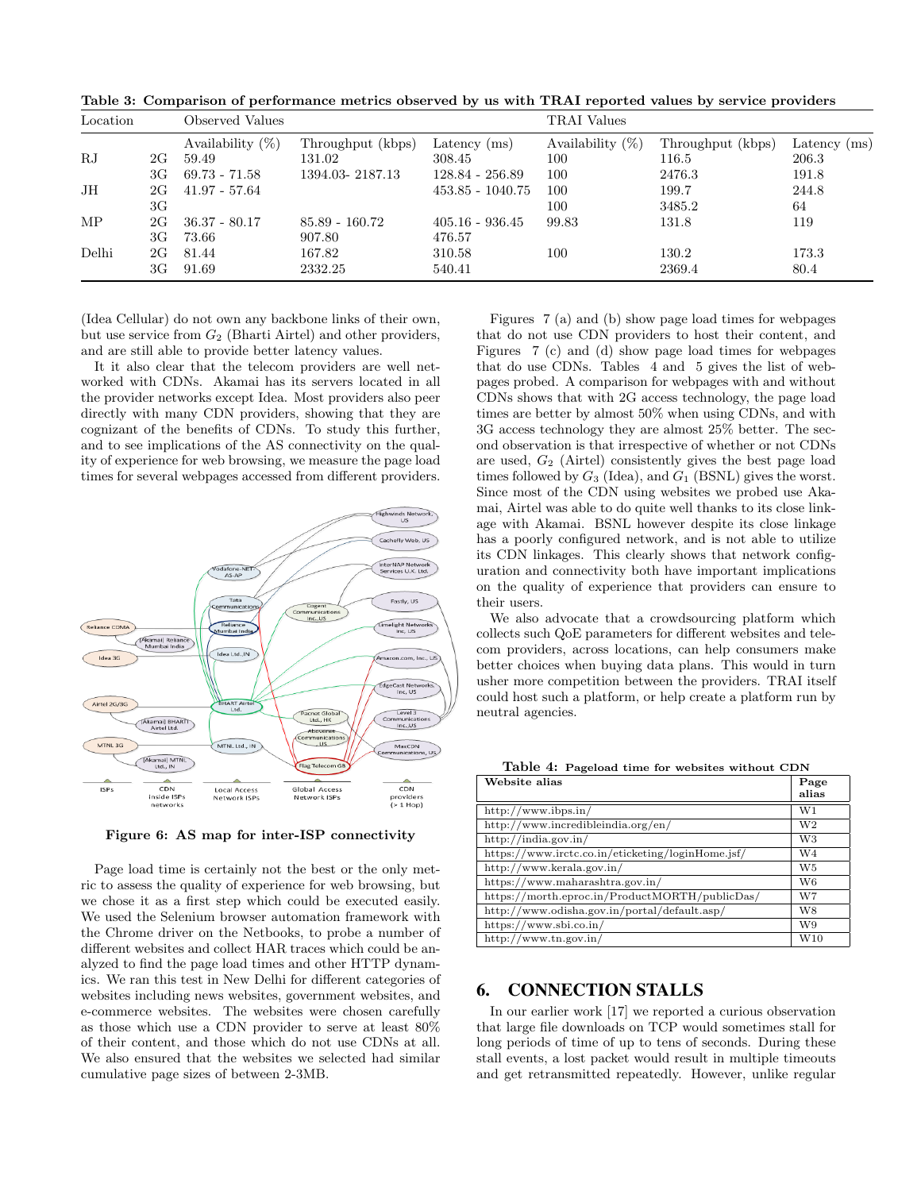| Location |    | Observed Values     |                   |                    | TRAI Values         |                   |                |
|----------|----|---------------------|-------------------|--------------------|---------------------|-------------------|----------------|
|          |    | Availability $(\%)$ | Throughput (kbps) | Latency $(ms)$     | Availability $(\%)$ | Throughput (kbps) | Latency $(ms)$ |
| RJ       | 2G | 59.49               | 131.02            | 308.45             | 100                 | 116.5             | 206.3          |
|          | 3G | $69.73 - 71.58$     | 1394.03-2187.13   | $128.84 - 256.89$  | 100                 | 2476.3            | 191.8          |
| JН       | 2G | $41.97 - 57.64$     |                   | $453.85 - 1040.75$ | 100                 | 199.7             | 244.8          |
|          | 3G |                     |                   |                    | 100                 | 3485.2            | 64             |
| MP       | 2G | $36.37 - 80.17$     | $85.89 - 160.72$  | $405.16 - 936.45$  | 99.83               | 131.8             | 119            |
|          | 3G | 73.66               | 907.80            | 476.57             |                     |                   |                |
| Delhi    | 2G | 81.44               | 167.82            | 310.58             | 100                 | 130.2             | 173.3          |
|          | 3G | 91.69               | 2332.25           | 540.41             |                     | 2369.4            | 80.4           |

**Table 3: Comparison of performance metrics observed by us with TRAI reported values by service providers**

(Idea Cellular) do not own any backbone links of their own, but use service from *G*<sup>2</sup> (Bharti Airtel) and other providers, and are still able to provide better latency values.

It it also clear that the telecom providers are well networked with CDNs. Akamai has its servers located in all the provider networks except Idea. Most providers also peer directly with many CDN providers, showing that they are cognizant of the benefits of CDNs. To study this further, and to see implications of the AS connectivity on the quality of experience for web browsing, we measure the page load times for several webpages accessed from different providers.



**Figure 6: AS map for inter-ISP connectivity**

Page load time is certainly not the best or the only metric to assess the quality of experience for web browsing, but we chose it as a first step which could be executed easily. We used the Selenium browser automation framework with the Chrome driver on the Netbooks, to probe a number of different websites and collect HAR traces which could be analyzed to find the page load times and other HTTP dynamics. We ran this test in New Delhi for different categories of websites including news websites, government websites, and e-commerce websites. The websites were chosen carefully as those which use a CDN provider to serve at least 80% of their content, and those which do not use CDNs at all. We also ensured that the websites we selected had similar cumulative page sizes of between 2-3MB.

Figures 7 (a) and (b) show page load times for webpages that do not use CDN providers to host their content, and Figures 7 (c) and (d) show page load times for webpages that do use CDNs. Tables 4 and 5 gives the list of webpages probed. A comparison for webpages with and without CDNs shows that with 2G access technology, the page load times are better by almost 50% when using CDNs, and with 3G access technology they are almost 25% better. The second observation is that irrespective of whether or not CDNs are used, *G*<sup>2</sup> (Airtel) consistently gives the best page load times followed by  $G_3$  (Idea), and  $G_1$  (BSNL) gives the worst. Since most of the CDN using websites we probed use Akamai, Airtel was able to do quite well thanks to its close linkage with Akamai. BSNL however despite its close linkage has a poorly configured network, and is not able to utilize its CDN linkages. This clearly shows that network configuration and connectivity both have important implications on the quality of experience that providers can ensure to their users.

We also advocate that a crowdsourcing platform which collects such QoE parameters for different websites and telecom providers, across locations, can help consumers make better choices when buying data plans. This would in turn usher more competition between the providers. TRAI itself could host such a platform, or help create a platform run by neutral agencies.

**Table 4: Pageload time for websites without CDN**

| Website alias                                     | Page<br>alias  |
|---------------------------------------------------|----------------|
| http://www.ibps.in/                               | W1             |
| http://www.incredibleindia.org/en/                | W2             |
| http://india.gov.in/                              | W3             |
| https://www.irctc.co.in/eticketing/loginHome.jsf/ | W <sub>4</sub> |
| http://www.kerala.gov.in/                         | W <sub>5</sub> |
| https://www.maharashtra.gov.in/                   | W6             |
| https://morth.eproc.in/ProductMORTH/publicDas/    | W7             |
| http://www.odisha.gov.in/portal/default.asp/      | W8             |
| https://www.sbi.co.in/                            | W9             |
| http://www.tn.gov.in/                             | W10            |

# 6. CONNECTION STALLS

In our earlier work [17] we reported a curious observation that large file downloads on TCP would sometimes stall for long periods of time of up to tens of seconds. During these stall events, a lost packet would result in multiple timeouts and get retransmitted repeatedly. However, unlike regular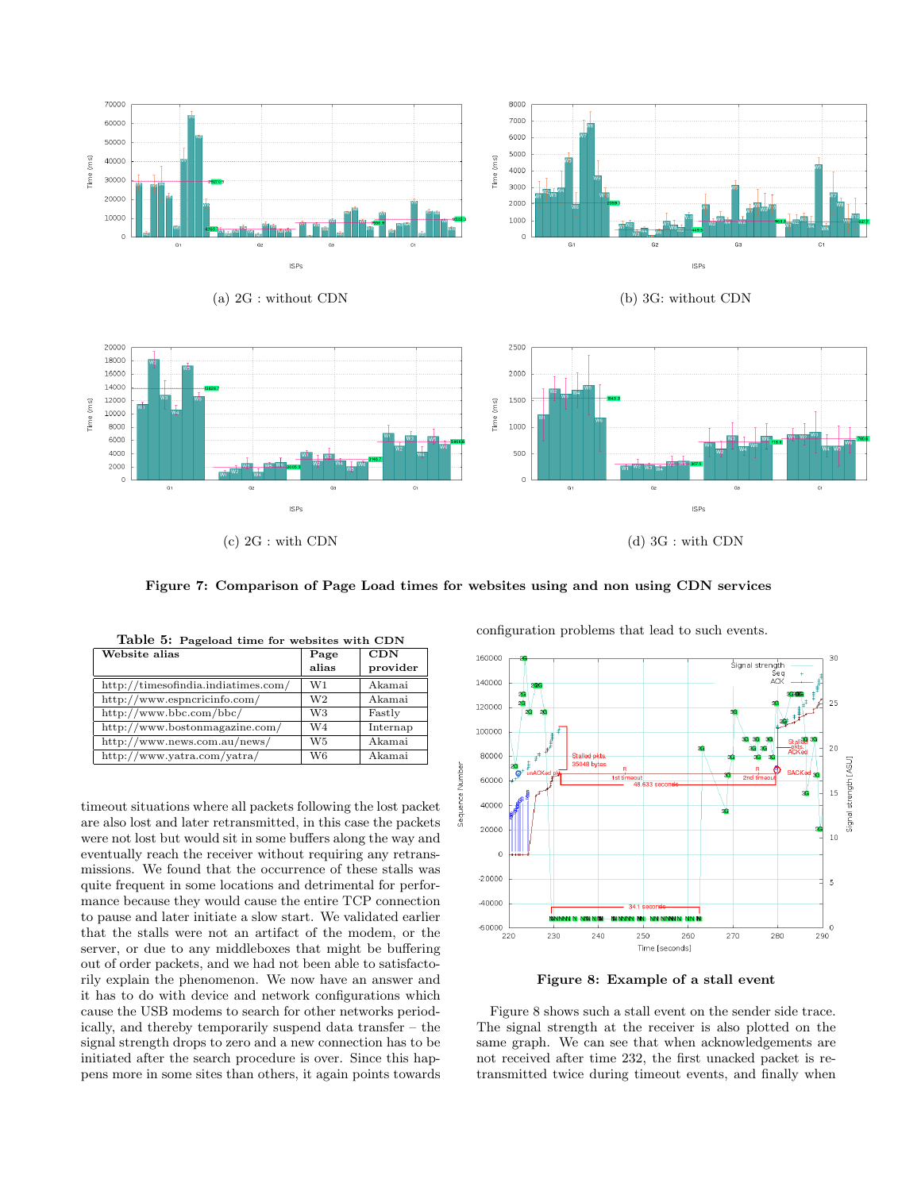





**Figure 7: Comparison of Page Load times for websites using and non using CDN services**

| Table 5: Pageload time for websites with CDN |                |            |  |
|----------------------------------------------|----------------|------------|--|
| Website alias                                | Page           | <b>CDN</b> |  |
|                                              | alias          | provider   |  |
| http://timesofindia.indiatimes.com/          | W1             | Akamai     |  |
| http://www.espncricinfo.com/                 | W <sub>2</sub> | Akamai     |  |
| http://www.bbc.com/bbc/                      | W3             | Fastly     |  |
| http://www.bostonmagazine.com/               | W4             | Internap   |  |
| http://www.news.com.au/news/                 | W5             | Akamai     |  |
| http://www.yatra.com/yatra/                  | W6             | Akamai     |  |

timeout situations where all packets following the lost packet are also lost and later retransmitted, in this case the packets were not lost but would sit in some buffers along the way and eventually reach the receiver without requiring any retransmissions. We found that the occurrence of these stalls was quite frequent in some locations and detrimental for performance because they would cause the entire TCP connection to pause and later initiate a slow start. We validated earlier that the stalls were not an artifact of the modem, or the server, or due to any middleboxes that might be buffering out of order packets, and we had not been able to satisfactorily explain the phenomenon. We now have an answer and it has to do with device and network configurations which cause the USB modems to search for other networks periodically, and thereby temporarily suspend data transfer – the signal strength drops to zero and a new connection has to be initiated after the search procedure is over. Since this happens more in some sites than others, it again points towards

configuration problems that lead to such events.



**Figure 8: Example of a stall event**

Figure 8 shows such a stall event on the sender side trace. The signal strength at the receiver is also plotted on the same graph. We can see that when acknowledgements are not received after time 232, the first unacked packet is retransmitted twice during timeout events, and finally when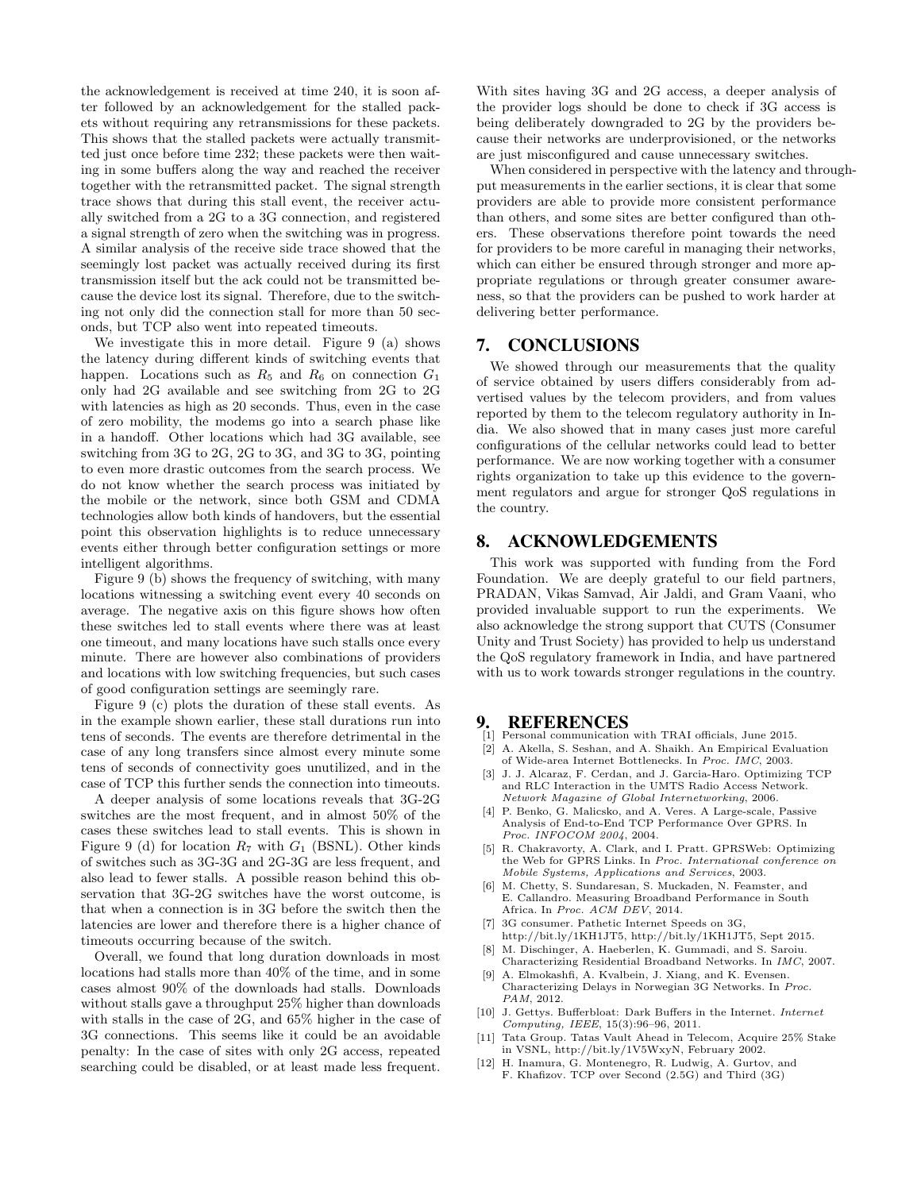the acknowledgement is received at time 240, it is soon after followed by an acknowledgement for the stalled packets without requiring any retransmissions for these packets. This shows that the stalled packets were actually transmitted just once before time 232; these packets were then waiting in some buffers along the way and reached the receiver together with the retransmitted packet. The signal strength trace shows that during this stall event, the receiver actually switched from a 2G to a 3G connection, and registered a signal strength of zero when the switching was in progress. A similar analysis of the receive side trace showed that the seemingly lost packet was actually received during its first transmission itself but the ack could not be transmitted because the device lost its signal. Therefore, due to the switching not only did the connection stall for more than 50 seconds, but TCP also went into repeated timeouts.

We investigate this in more detail. Figure 9 (a) shows the latency during different kinds of switching events that happen. Locations such as  $R_5$  and  $R_6$  on connection  $G_1$ only had 2G available and see switching from 2G to 2G with latencies as high as 20 seconds. Thus, even in the case of zero mobility, the modems go into a search phase like in a handoff. Other locations which had 3G available, see switching from 3G to 2G, 2G to 3G, and 3G to 3G, pointing to even more drastic outcomes from the search process. We do not know whether the search process was initiated by the mobile or the network, since both GSM and CDMA technologies allow both kinds of handovers, but the essential point this observation highlights is to reduce unnecessary events either through better configuration settings or more intelligent algorithms.

Figure 9 (b) shows the frequency of switching, with many locations witnessing a switching event every 40 seconds on average. The negative axis on this figure shows how often these switches led to stall events where there was at least one timeout, and many locations have such stalls once every minute. There are however also combinations of providers and locations with low switching frequencies, but such cases of good configuration settings are seemingly rare.

Figure 9 (c) plots the duration of these stall events. As in the example shown earlier, these stall durations run into tens of seconds. The events are therefore detrimental in the case of any long transfers since almost every minute some tens of seconds of connectivity goes unutilized, and in the case of TCP this further sends the connection into timeouts.

A deeper analysis of some locations reveals that 3G-2G switches are the most frequent, and in almost 50% of the cases these switches lead to stall events. This is shown in Figure 9 (d) for location *R*<sup>7</sup> with *G*<sup>1</sup> (BSNL). Other kinds of switches such as 3G-3G and 2G-3G are less frequent, and also lead to fewer stalls. A possible reason behind this observation that 3G-2G switches have the worst outcome, is that when a connection is in 3G before the switch then the latencies are lower and therefore there is a higher chance of timeouts occurring because of the switch.

Overall, we found that long duration downloads in most locations had stalls more than 40% of the time, and in some cases almost 90% of the downloads had stalls. Downloads without stalls gave a throughput 25% higher than downloads with stalls in the case of 2G, and 65% higher in the case of 3G connections. This seems like it could be an avoidable penalty: In the case of sites with only 2G access, repeated searching could be disabled, or at least made less frequent.

With sites having 3G and 2G access, a deeper analysis of the provider logs should be done to check if 3G access is being deliberately downgraded to 2G by the providers because their networks are underprovisioned, or the networks are just misconfigured and cause unnecessary switches.

When considered in perspective with the latency and throughput measurements in the earlier sections, it is clear that some providers are able to provide more consistent performance than others, and some sites are better configured than others. These observations therefore point towards the need for providers to be more careful in managing their networks, which can either be ensured through stronger and more appropriate regulations or through greater consumer awareness, so that the providers can be pushed to work harder at delivering better performance.

## 7. CONCLUSIONS

We showed through our measurements that the quality of service obtained by users differs considerably from advertised values by the telecom providers, and from values reported by them to the telecom regulatory authority in India. We also showed that in many cases just more careful configurations of the cellular networks could lead to better performance. We are now working together with a consumer rights organization to take up this evidence to the government regulators and argue for stronger QoS regulations in the country.

#### 8. ACKNOWLEDGEMENTS

This work was supported with funding from the Ford Foundation. We are deeply grateful to our field partners, PRADAN, Vikas Samvad, Air Jaldi, and Gram Vaani, who provided invaluable support to run the experiments. We also acknowledge the strong support that CUTS (Consumer Unity and Trust Society) has provided to help us understand the QoS regulatory framework in India, and have partnered with us to work towards stronger regulations in the country.

#### 9. REFERENCES

- [1] Personal communication with TRAI officials, June 2015.
- [2] A. Akella, S. Seshan, and A. Shaikh. An Empirical Evaluation of Wide-area Internet Bottlenecks. In *Proc. IMC*, 2003.
- [3] J. J. Alcaraz, F. Cerdan, and J. Garcia-Haro. Optimizing TCP and RLC Interaction in the UMTS Radio Access Network. *Network Magazine of Global Internetworking*, 2006.
- [4] P. Benko, G. Malicsko, and A. Veres. A Large-scale, Passive Analysis of End-to-End TCP Performance Over GPRS. In *Proc. INFOCOM 2004*, 2004.
- [5] R. Chakravorty, A. Clark, and I. Pratt. GPRSWeb: Optimizing the Web for GPRS Links. In *Proc. International conference on Mobile Systems, Applications and Services*, 2003.
- [6] M. Chetty, S. Sundaresan, S. Muckaden, N. Feamster, and E. Callandro. Measuring Broadband Performance in South Africa. In *Proc. ACM DEV*, 2014.
- [7] 3G consumer. Pathetic Internet Speeds on 3G, http://bit.ly/1KH1JT5, http://bit.ly/1KH1JT5, Sept 2015. [8] M. Dischinger, A. Haeberlen, K. Gummadi, and S. Saroiu.
- Characterizing Residential Broadband Networks. In *IMC*, 2007. [9] A. Elmokashfi, A. Kvalbein, J. Xiang, and K. Evensen.
- Characterizing Delays in Norwegian 3G Networks. In *Proc. PAM*, 2012.
- [10] J. Gettys. Bufferbloat: Dark Buffers in the Internet. *Internet Computing, IEEE*, 15(3):96–96, 2011.
- [11] Tata Group. Tatas Vault Ahead in Telecom, Acquire 25% Stake in VSNL, http://bit.ly/1V5WxyN, February 2002.
- [12] H. Inamura, G. Montenegro, R. Ludwig, A. Gurtov, and F. Khafizov. TCP over Second (2.5G) and Third (3G)